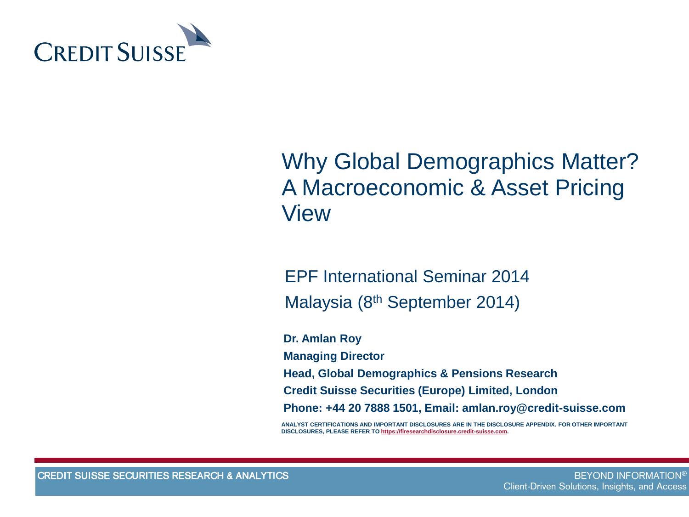

#### Why Global Demographics Matter? A Macroeconomic & Asset Pricing View

EPF International Seminar 2014 Malaysia (8th September 2014)

**Dr. Amlan Roy Managing Director Head, Global Demographics & Pensions Research Credit Suisse Securities (Europe) Limited, London Phone: +44 20 7888 1501, Email: amlan.roy@credit-suisse.com**

**ANALYST CERTIFICATIONS AND IMPORTANT DISCLOSURES ARE IN THE DISCLOSURE APPENDIX. FOR OTHER IMPORTANT DISCLOSURES, PLEASE REFER TO [https://firesearchdisclosure.credit-suisse.com](https://firesearchdisclosure.credit-suisse.com/).**

CREDIT SUISSE SECURITIES RESEARCH & ANALYTICS

BEYOND INFORMATION® Client-Driven Solutions, Insights, and Access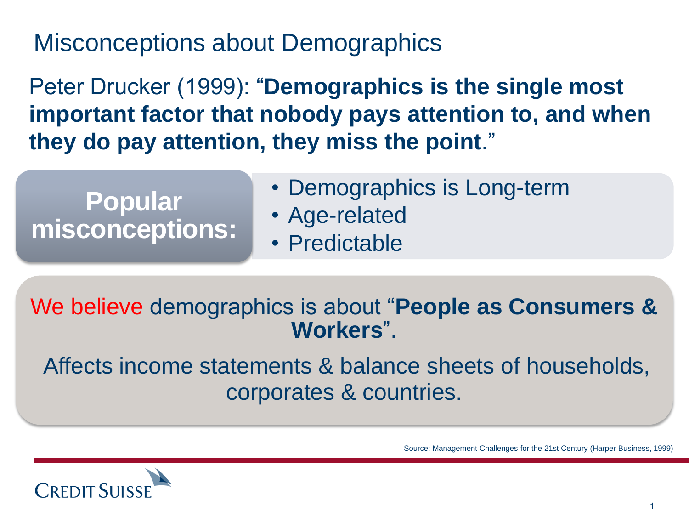### Misconceptions about Demographics

Peter Drucker (1999): "**Demographics is the single most important factor that nobody pays attention to, and when they do pay attention, they miss the point**."

- Demographics is Long-term
- Age-related **misconceptions:** 
	- Predictable

#### We believe demographics is about "**People as Consumers & Workers**".

Affects income statements & balance sheets of households, corporates & countries.

Source: Management Challenges for the 21st Century (Harper Business, 1999)



**Popular**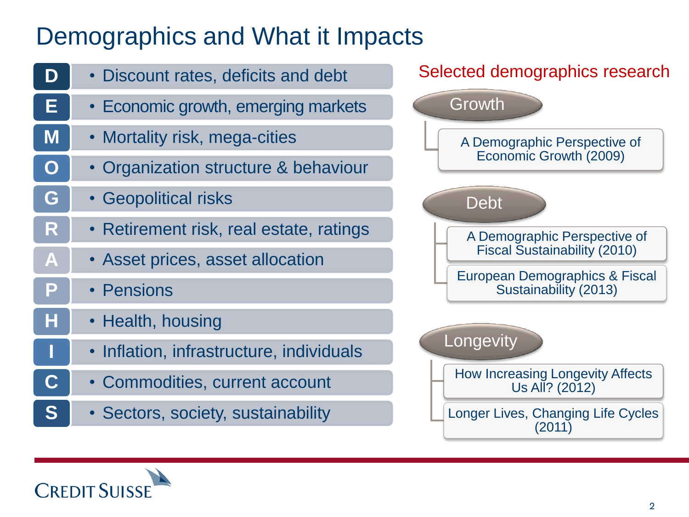## Demographics and What it Impacts

| D                         | • Discount rates, deficits and debt      | Selected demographics research                            |
|---------------------------|------------------------------------------|-----------------------------------------------------------|
| Е                         | • Economic growth, emerging markets      | Growth                                                    |
| M                         | • Mortality risk, mega-cities            | A Demographic Perspective of                              |
| $\mathbf O$               | • Organization structure & behaviour     | Economic Growth (2009)                                    |
| G                         | • Geopolitical risks                     | Debt                                                      |
| R                         | • Retirement risk, real estate, ratings  | A Demographic Perspective of                              |
| $\boldsymbol{\mathsf{A}}$ | • Asset prices, asset allocation         | <b>Fiscal Sustainability (2010)</b>                       |
| P                         | • Pensions                               | European Demographics & Fiscal<br>Sustainability (2013)   |
| н                         | • Health, housing                        |                                                           |
|                           | • Inflation, infrastructure, individuals | Longevity                                                 |
| $\mathbf C$               | • Commodities, current account           | <b>How Increasing Longevity Affects</b><br>Us All? (2012) |
| S                         | • Sectors, society, sustainability       | Longer Lives, Changing Life Cycles<br>(2011)              |

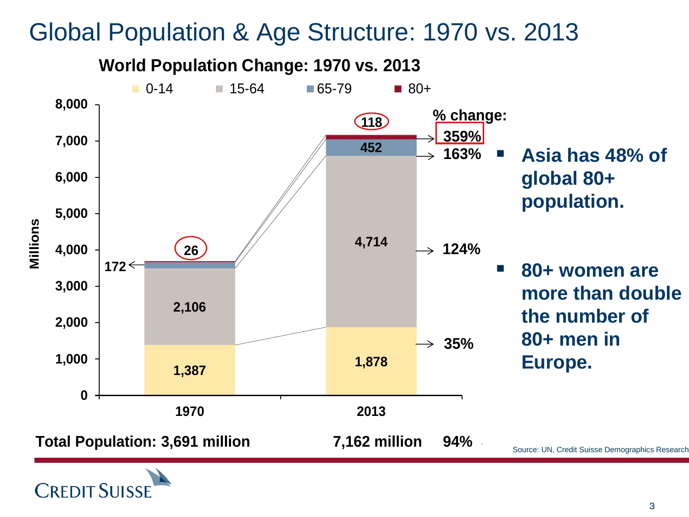### Global Population & Age Structure: 1970 vs. 2013



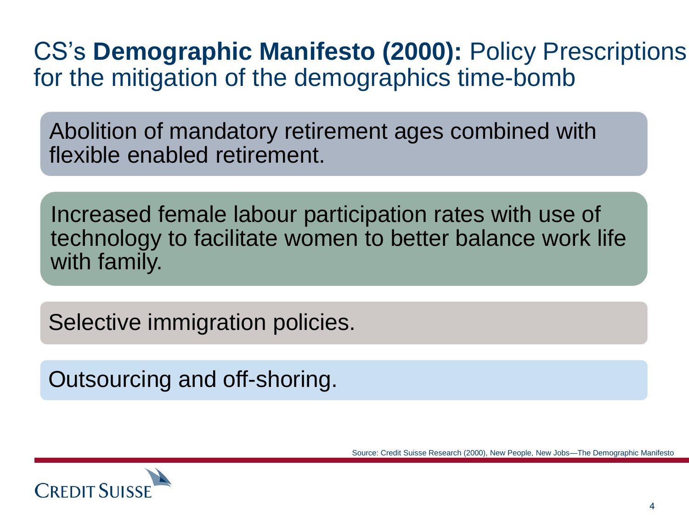#### CS's **Demographic Manifesto (2000):** Policy Prescriptions for the mitigation of the demographics time-bomb

Abolition of mandatory retirement ages combined with flexible enabled retirement.

Increased female labour participation rates with use of technology to facilitate women to better balance work life with family.

Selective immigration policies.

Outsourcing and off-shoring.



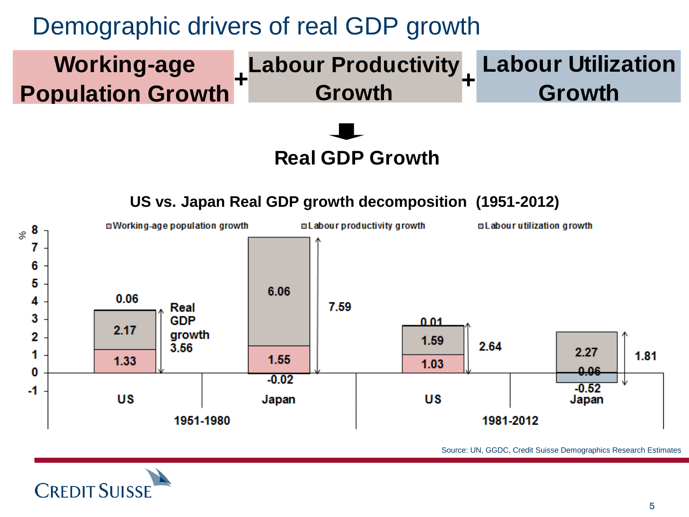

Source: UN, GGDC, Credit Suisse Demographics Research Estimates

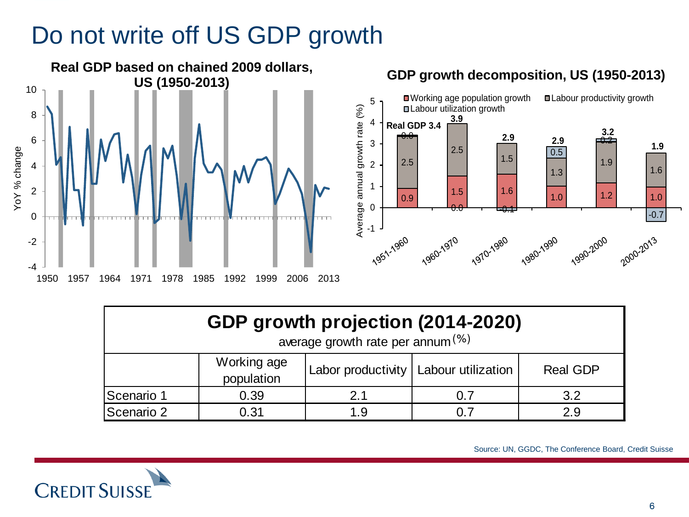# Do not write off US GDP growth



| <b>GDP growth projection (2014-2020)</b> |  |  |
|------------------------------------------|--|--|
|------------------------------------------|--|--|

average growth rate per annum (%)

|            | Working age<br>population | Labor productivity   Labour utilization | <b>Real GDP</b> |
|------------|---------------------------|-----------------------------------------|-----------------|
| Scenario 1 | 0.39                      | າ 1                                     | ? ?             |
| Scenario 2 | 0.31                      | 1 Q                                     | 2.9             |



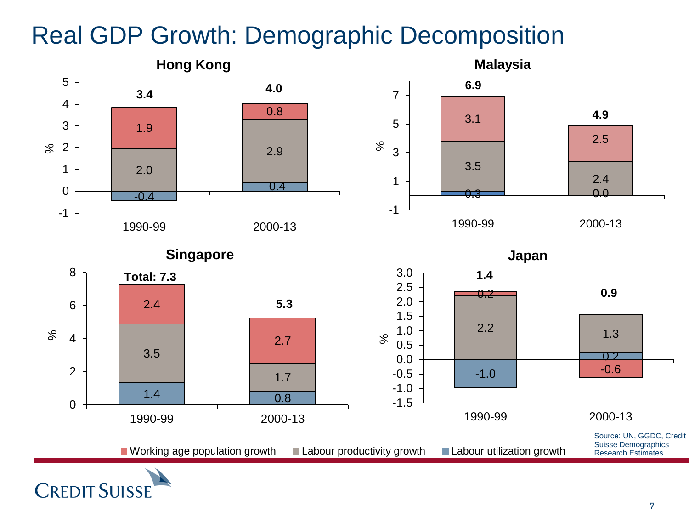### Real GDP Growth: Demographic Decomposition



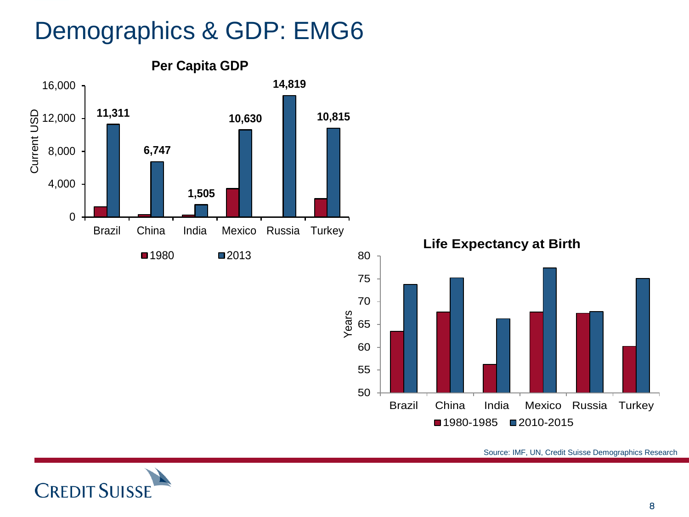# Demographics & GDP: EMG6



Source: IMF, UN, Credit Suisse Demographics Research

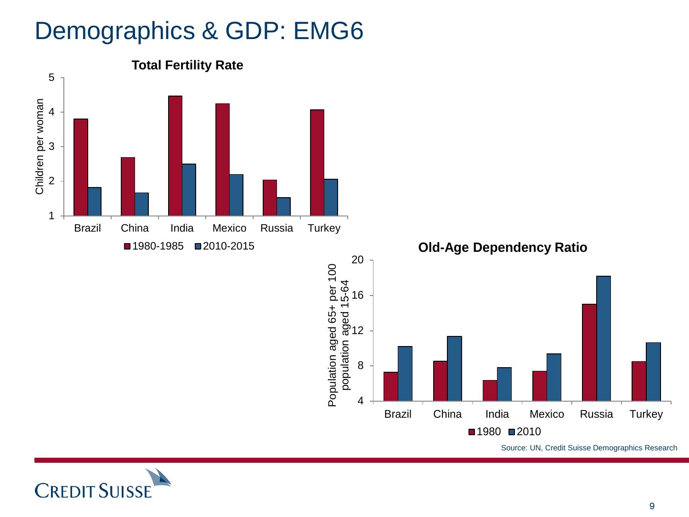## Demographics & GDP: EMG6



Source: UN, Credit Suisse Demographics Research

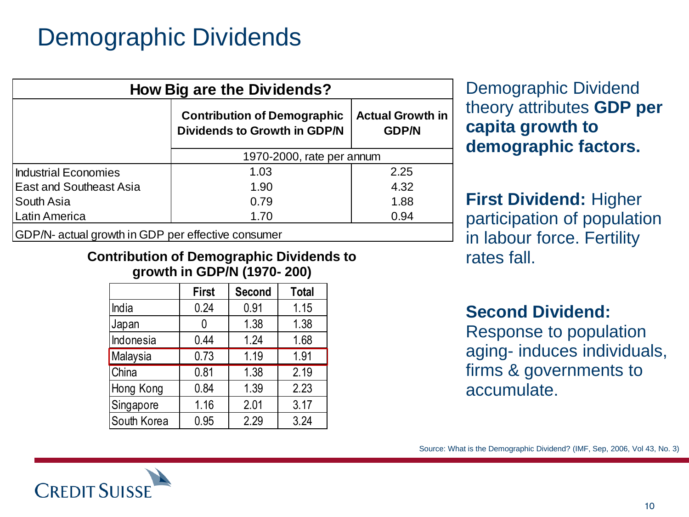### Demographic Dividends

| How Big are the Dividends?                                                                                    |                           |      |  |  |
|---------------------------------------------------------------------------------------------------------------|---------------------------|------|--|--|
| <b>Actual Growth in</b><br><b>Contribution of Demographic</b><br>Dividends to Growth in GDP/N<br><b>GDP/N</b> |                           |      |  |  |
|                                                                                                               | 1970-2000, rate per annum |      |  |  |
| <b>Industrial Economies</b>                                                                                   | 2.25<br>1.03              |      |  |  |
| <b>East and Southeast Asia</b>                                                                                | 1.90                      | 4.32 |  |  |
| South Asia                                                                                                    | 0.79                      | 1.88 |  |  |
| Latin America<br>0.94<br>1.70                                                                                 |                           |      |  |  |
| GDP/N- actual growth in GDP per effective consumer                                                            |                           |      |  |  |

Demographic Dividend theory attributes **GDP per capita growth to demographic factors.** 

**First Dividend:** Higher participation of population in labour force. Fertility rates fall.

**Second Dividend:**  Response to population aging- induces individuals, firms & governments to accumulate.

**Contribution of Demographic Dividends to growth in GDP/N (1970- 200)** 

|             | <b>First</b> | <b>Second</b> | <b>Total</b> |
|-------------|--------------|---------------|--------------|
| India       | 0.24         | 0.91          | 1.15         |
| Japan       | 0            | 1.38          | 1.38         |
| Indonesia   | 0.44         | 1.24          | 1.68         |
| Malaysia    | 0.73         | 1.19          | 1.91         |
| China       | 0.81         | 1.38          | 2.19         |
| Hong Kong   | 0.84         | 1.39          | 2.23         |
| Singapore   | 1.16         | 2.01          | 3.17         |
| South Korea | 0.95         | 2.29          | 3.24         |

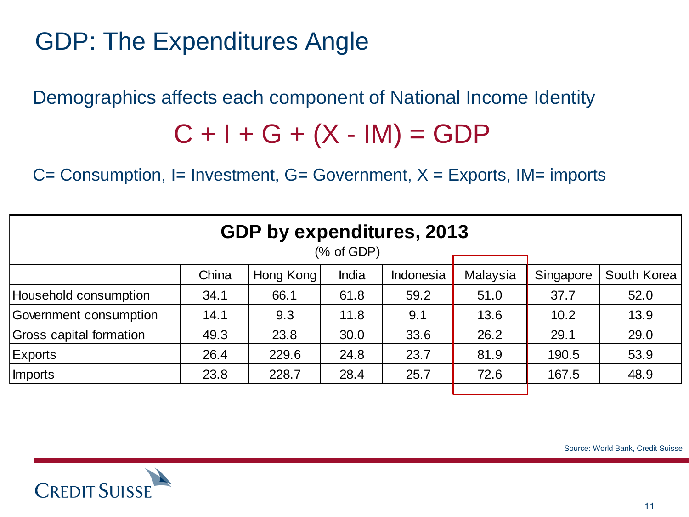# GDP: The Expenditures Angle

Demographics affects each component of National Income Identity

# $C + I + G + (X - IM) = GDP$

 $C=$  Consumption, I= Investment, G= Government,  $X =$  Exports, IM= imports

| GDP by expenditures, 2013<br>(% of GDP) |                                                                   |       |      |      |      |             |      |
|-----------------------------------------|-------------------------------------------------------------------|-------|------|------|------|-------------|------|
|                                         | China<br>India<br>Malaysia<br>Hong Kong<br>Indonesia<br>Singapore |       |      |      |      | South Korea |      |
| Household consumption                   | 34.1                                                              | 66.1  | 61.8 | 59.2 | 51.0 | 37.7        | 52.0 |
| Government consumption                  | 14.1                                                              | 9.3   | 11.8 | 9.1  | 13.6 | 10.2        | 13.9 |
| Gross capital formation                 | 49.3                                                              | 23.8  | 30.0 | 33.6 | 26.2 | 29.1        | 29.0 |
| Exports                                 | 26.4                                                              | 229.6 | 24.8 | 23.7 | 81.9 | 190.5       | 53.9 |
| Imports                                 | 23.8                                                              | 228.7 | 28.4 | 25.7 | 72.6 | 167.5       | 48.9 |

Source: World Bank, Credit Suisse

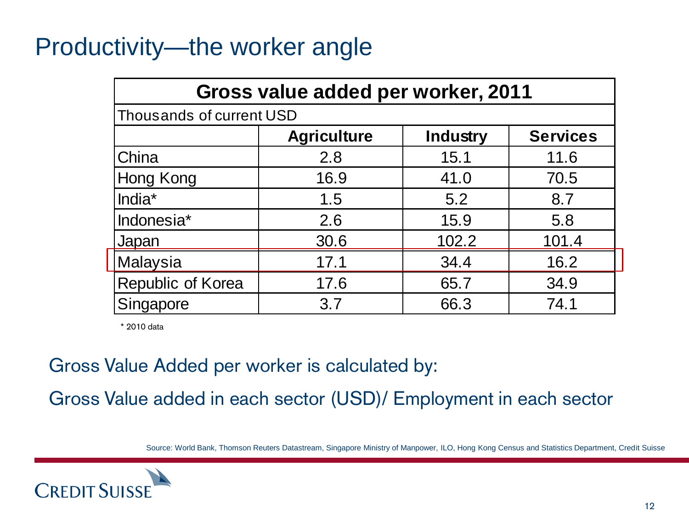### Productivity—the worker angle

| Gross value added per worker, 2011 |                    |                 |                 |  |
|------------------------------------|--------------------|-----------------|-----------------|--|
| Thousands of current USD           |                    |                 |                 |  |
|                                    | <b>Agriculture</b> | <b>Industry</b> | <b>Services</b> |  |
| China                              | 2.8                | 15.1            | 11.6            |  |
| Hong Kong                          | 16.9               | 41.0            | 70.5            |  |
| India <sup>*</sup>                 | 1.5                | 5.2             | 8.7             |  |
| Indonesia*                         | 2.6                | 15.9            | 5.8             |  |
| Japan                              | 30.6               | 102.2           | 101.4           |  |
| Malaysia                           | 17.1               | 34.4            | 16.2            |  |
| Republic of Korea                  | 17.6               | 65.7            | 34.9            |  |
| Singapore                          | 3.7                | 66.3            | 74.1            |  |

\* 2010 data

Gross Value Added per worker is calculated by:

Gross Value added in each sector (USD)/ Employment in each sector

Source: World Bank, Thomson Reuters Datastream, Singapore Ministry of Manpower, ILO, Hong Kong Census and Statistics Department, Credit Suisse

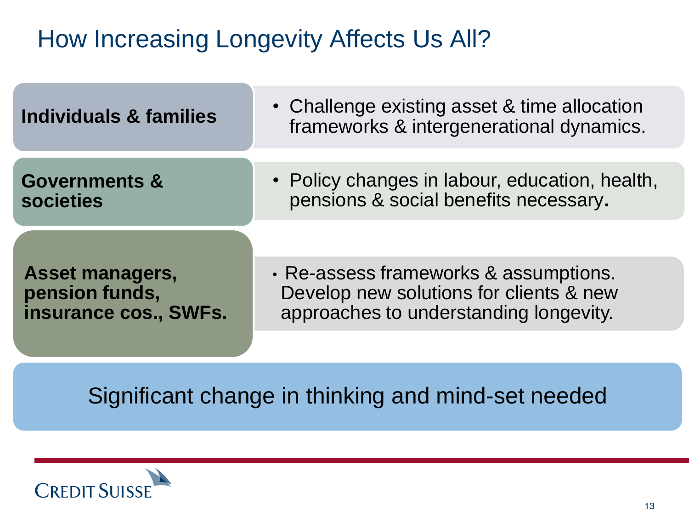## How Increasing Longevity Affects Us All?

| Individuals & families                                     | • Challenge existing asset & time allocation<br>frameworks & intergenerational dynamics.                                   |  |
|------------------------------------------------------------|----------------------------------------------------------------------------------------------------------------------------|--|
|                                                            |                                                                                                                            |  |
| <b>Governments &amp;</b><br><b>societies</b>               | • Policy changes in labour, education, health,<br>pensions & social benefits necessary.                                    |  |
|                                                            |                                                                                                                            |  |
| Asset managers,<br>pension funds,<br>insurance cos., SWFs. | • Re-assess frameworks & assumptions.<br>Develop new solutions for clients & new<br>approaches to understanding longevity. |  |
|                                                            |                                                                                                                            |  |
| Significant change in thinking and mind-set needed         |                                                                                                                            |  |

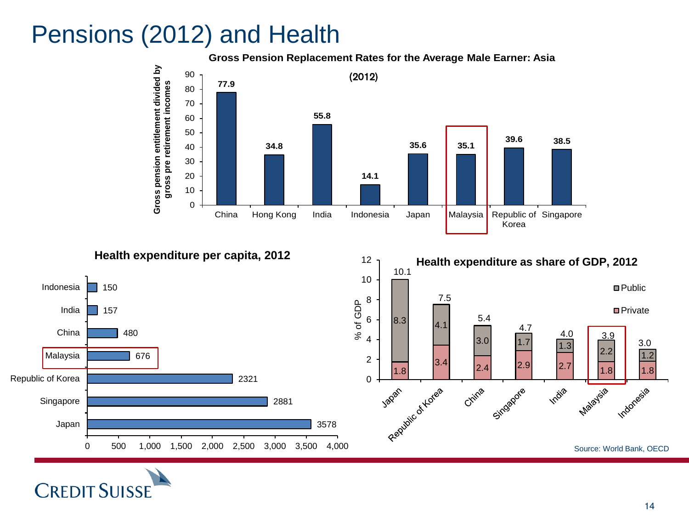### Pensions (2012) and Health

**Gross Pension Replacement Rates for the Average Male Earner: Asia**





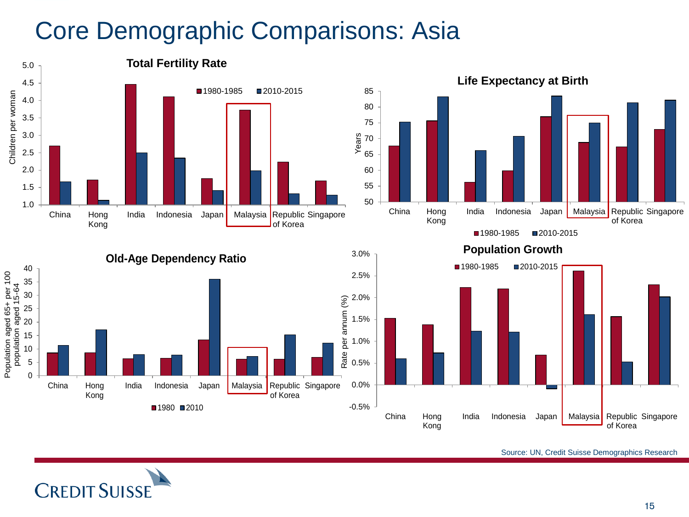### Core Demographic Comparisons: Asia







#### **Population Growth**



Source: UN, Credit Suisse Demographics Research



population aged 15-64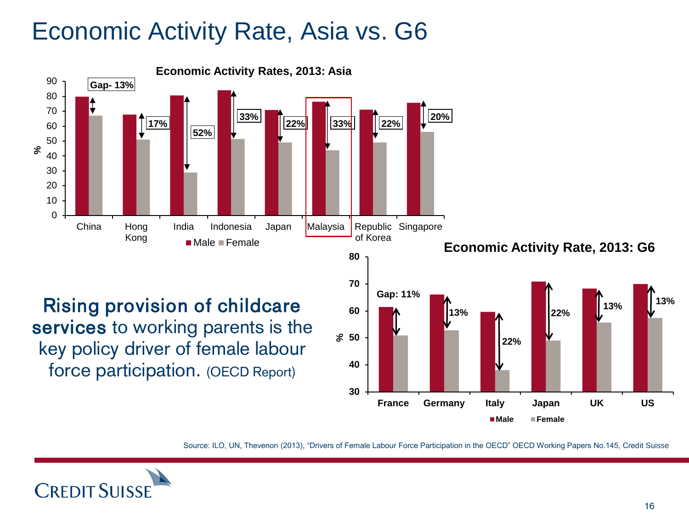### Economic Activity Rate, Asia vs. G6



Source: ILO, UN, Thevenon (2013), "Drivers of Female Labour Force Participation in the OECD" OECD Working Papers No.145, Credit Suisse

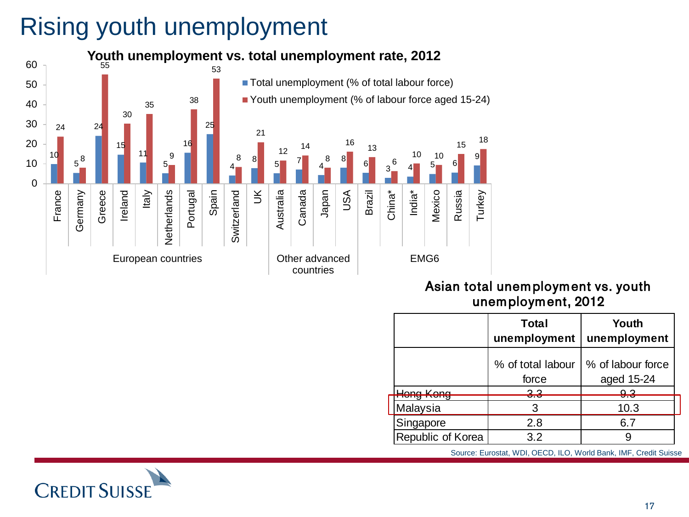### Rising youth unemployment



#### Asian total unemployment vs. youth unemployment, 2012

|                                 | <b>Total</b><br>unemployment | Youth<br>unemployment           |
|---------------------------------|------------------------------|---------------------------------|
|                                 | % of total labour<br>force   | % of labour force<br>aged 15-24 |
| $L_{\text{on}}$ $K_{\text{on}}$ | റ റ<br>---                   |                                 |
| Malaysia                        | З                            | 10.3                            |
| Singapore                       | 2.8                          | 6.7                             |
| Republic of Korea               | 3.2                          |                                 |

Source: Eurostat, WDI, OECD, ILO, World Bank, IMF, Credit Suisse

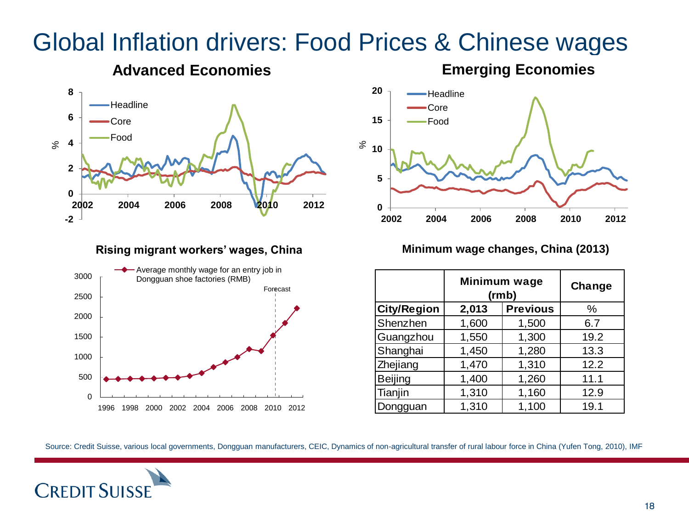#### Global Inflation drivers: Food Prices & Chinese wages



#### **Rising migrant workers' wages, China**



#### **0 5 10 15 20 2002 2004 2006 2008 2010 2012**  $\%$ Headline Core Food

**Emerging Economies**

#### **Minimum wage changes, China (2013)**

|                    | Minimum wage<br>(rmb) | Change          |      |
|--------------------|-----------------------|-----------------|------|
| <b>City/Region</b> | 2,013                 | <b>Previous</b> | %    |
| Shenzhen           | 1,600                 | 1,500           | 6.7  |
| Guangzhou          | 1,550                 | 1,300           | 19.2 |
| Shanghai           | 1,450                 | 1,280           | 13.3 |
| Zhejiang           | 1,470                 | 1,310           | 12.2 |
| Beijing            | 1,400                 | 1,260           | 11.1 |
| Tianjin            | 1,310                 | 1,160           | 12.9 |
| Dongguan           | 1,310                 | 1,100           | 19.1 |

Source: Credit Suisse, various local governments, Dongguan manufacturers, CEIC, Dynamics of non-agricultural transfer of rural labour force in China (Yufen Tong, 2010), IMF

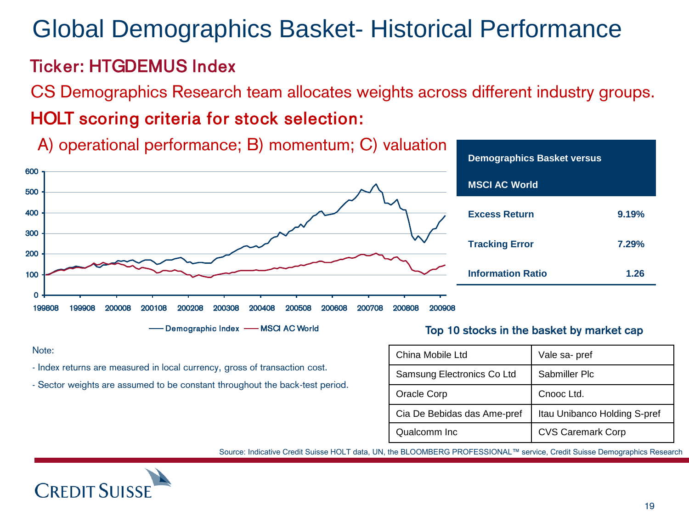## Global Demographics Basket- Historical Performance

#### Ticker: HTGDEMUS Index

CS Demographics Research team allocates weights across different industry groups. HOLT scoring criteria for stock selection:



Demographic Index - MSCI AC World

#### Note:

- Index returns are measured in local currency, gross of transaction cost.
- Sector weights are assumed to be constant throughout the back-test period.

#### **Top 10 stocks in the basket by market cap**

| China Mobile Ltd            | Vale sa- pref                |
|-----------------------------|------------------------------|
| Samsung Electronics Co Ltd  | Sabmiller Plc                |
| Oracle Corp                 | Cnooc Ltd.                   |
| Cia De Bebidas das Ame-pref | Itau Unibanco Holding S-pref |
| Qualcomm Inc                | <b>CVS Caremark Corp</b>     |

Source: Indicative Credit Suisse HOLT data, UN, the BLOOMBERG PROFESSIONAL™ service, Credit Suisse Demographics Research

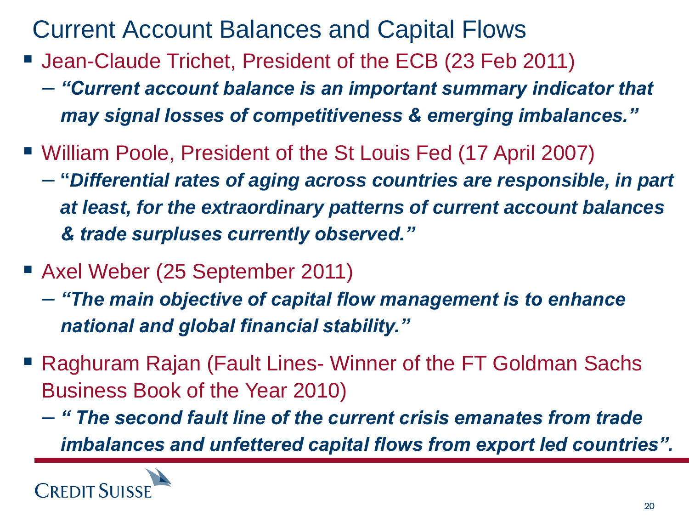# Current Account Balances and Capital Flows

- Jean-Claude Trichet, President of the ECB (23 Feb 2011)
	- *"Current account balance is an important summary indicator that may signal losses of competitiveness & emerging imbalances."*
- William Poole, President of the St Louis Fed (17 April 2007)
	- **"***Differential rates of aging across countries are responsible, in part at least, for the extraordinary patterns of current account balances & trade surpluses currently observed."*
- Axel Weber (25 September 2011)
	- *"The main objective of capital flow management is to enhance national and global financial stability."*
- Raghuram Rajan (Fault Lines- Winner of the FT Goldman Sachs Business Book of the Year 2010)
	- *" The second fault line of the current crisis emanates from trade imbalances and unfettered capital flows from export led countries".*

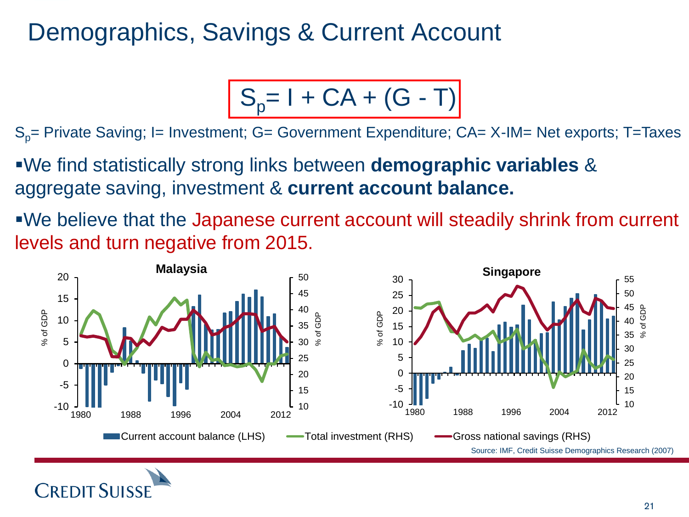Demographics, Savings & Current Account

$$
S_p=1+CA+(G-T)
$$

 $S<sub>o</sub>=$  Private Saving; I= Investment; G= Government Expenditure; CA= X-IM= Net exports; T=Taxes

We find statistically strong links between **demographic variables** & aggregate saving, investment & **current account balance.**

We believe that the Japanese current account will steadily shrink from current levels and turn negative from 2015.



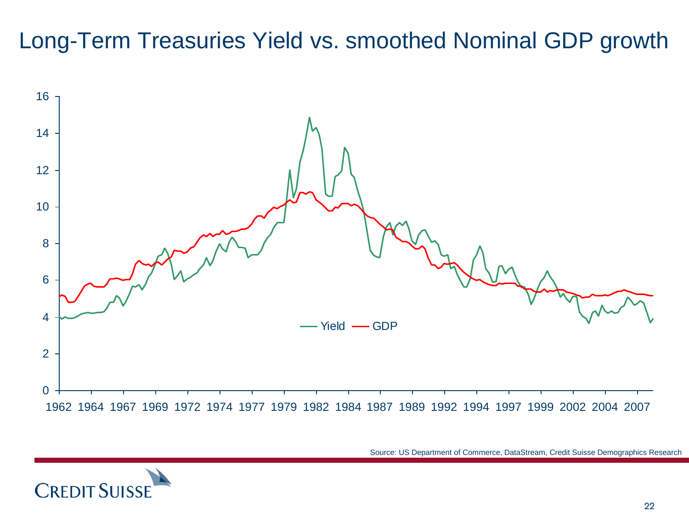#### Long-Term Treasuries Yield vs. smoothed Nominal GDP growth



Source: US Department of Commerce, DataStream, Credit Suisse Demographics Research

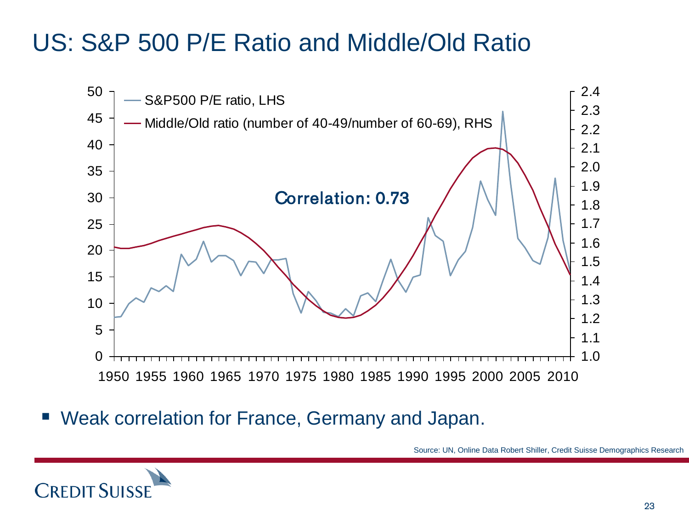### US: S&P 500 P/E Ratio and Middle/Old Ratio



■ Weak correlation for France, Germany and Japan.

Source: UN, Online Data Robert Shiller, Credit Suisse Demographics Research

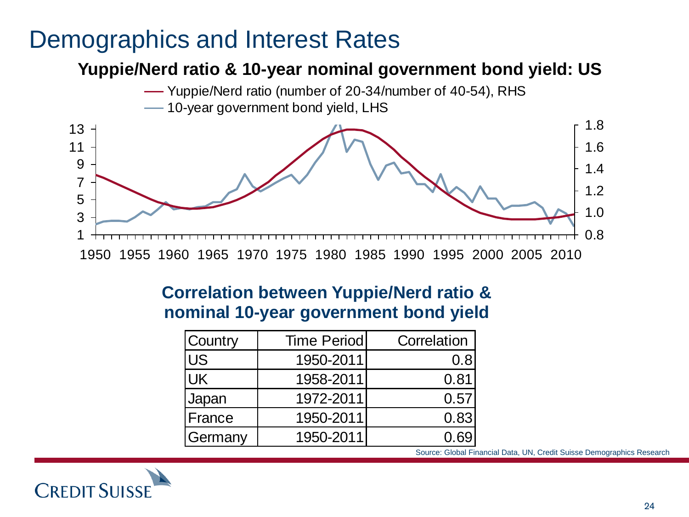#### Demographics and Interest Rates

#### **Yuppie/Nerd ratio & 10-year nominal government bond yield: US**



#### **Correlation between Yuppie/Nerd ratio & nominal 10-year government bond yield**

| Country   | <b>Time Period</b> | Correlation |
|-----------|--------------------|-------------|
| <b>US</b> | 1950-2011          | 0.8         |
| <b>UK</b> | 1958-2011          | 0.81        |
| Japan     | 1972-2011          | 0.57        |
| France    | 1950-2011          | 0.83        |
| Germany   | 1950-2011          | 0.69        |

Source: Global Financial Data, UN, Credit Suisse Demographics Research

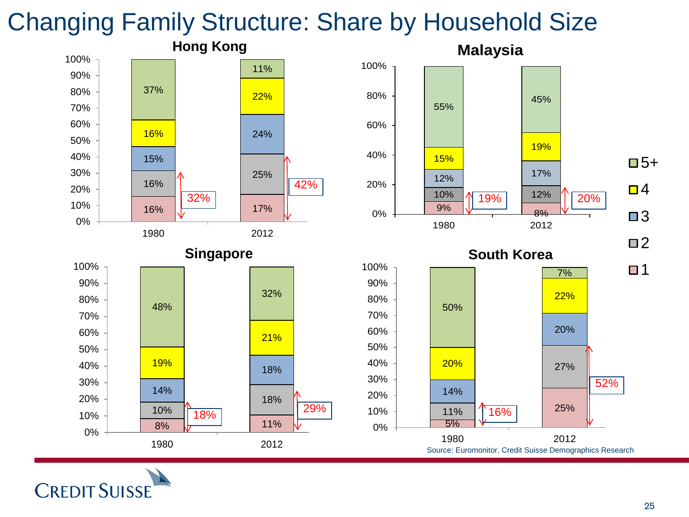#### Changing Family Structure: Share by Household Size



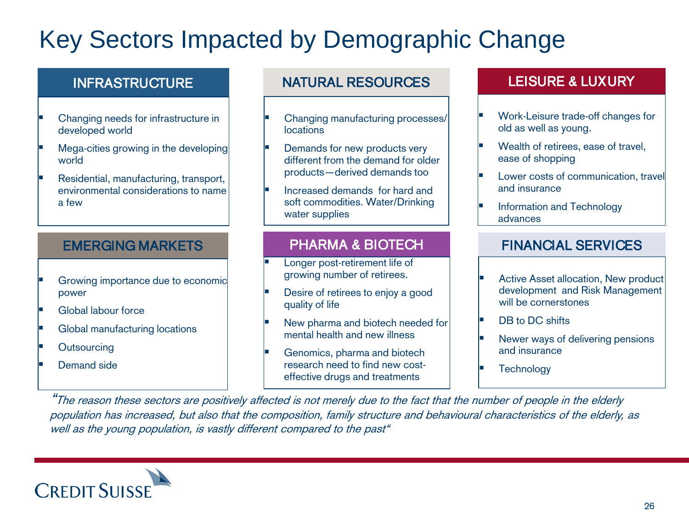# Key Sectors Impacted by Demographic Change

- Changing needs for infrastructure in developed world
- Mega-cities growing in the developing world
- Residential, manufacturing, transport, environmental considerations to name a few

#### EMERGING MARKETS

- Growing importance due to economic power
- Global labour force
- Global manufacturing locations
- **Outsourcing**
- Demand side

#### INFRASTRUCTURE NATURAL RESOURCES LEISURE & LUXURY

- Changing manufacturing processes/ locations
- Demands for new products very different from the demand for older products—derived demands too
- Increased demands for hard and soft commodities. Water/Drinking water supplies

#### PHARMA & BIOTECH

- Longer post-retirement life of growing number of retirees.
- Desire of retirees to enjoy a good quality of life
- New pharma and biotech needed for mental health and new illness
- Genomics, pharma and biotech research need to find new costeffective drugs and treatments

- Work-Leisure trade-off changes for old as well as young.
- Wealth of retirees, ease of travel, ease of shopping
- Lower costs of communication, travel and insurance
- Information and Technology advances

#### FINANCIAL SERVICES

- Active Asset allocation, New product development and Risk Management will be cornerstones
- DB to DC shifts
- Newer ways of delivering pensions and insurance
	- **Technology**

"The reason these sectors are positively affected is not merely due to the fact that the number of people in the elderly population has increased, but also that the composition, family structure and behavioural characteristics of the elderly, as well as the young population, is vastly different compared to the past<sup>"</sup>

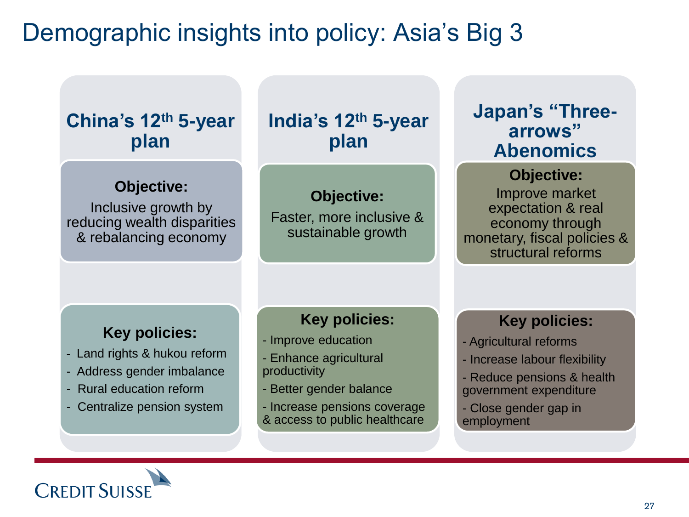### Demographic insights into policy: Asia's Big 3



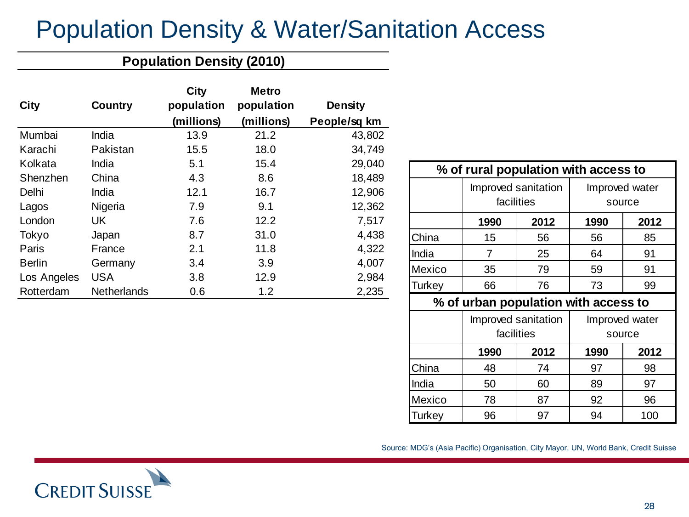# Population Density & Water/Sanitation Access

#### **Population Density (2010)**

| <b>City</b>   | Country            | <b>City</b><br>population | <b>Metro</b><br>population | <b>Density</b> |
|---------------|--------------------|---------------------------|----------------------------|----------------|
|               |                    | (millions)                | (millions)                 | People/sq km   |
| Mumbai        | India              | 13.9                      | 21.2                       | 43,802         |
| Karachi       | Pakistan           | 15.5                      | 18.0                       | 34,749         |
| Kolkata       | India              | 5.1                       | 15.4                       | 29,040         |
| Shenzhen      | China              | 4.3                       | 8.6                        | 18,489         |
| Delhi         | India              | 12.1                      | 16.7                       | 12,906         |
| Lagos         | Nigeria            | 7.9                       | 9.1                        | 12,362         |
| London        | UK                 | 7.6                       | 12.2                       | 7,517          |
| Tokyo         | Japan              | 8.7                       | 31.0                       | 4,438          |
| Paris         | France             | 2.1                       | 11.8                       | 4,322          |
| <b>Berlin</b> | Germany            | 3.4                       | 3.9                        | 4,007          |
| Los Angeles   | <b>USA</b>         | 3.8                       | 12.9                       | 2,984          |
| Rotterdam     | <b>Netherlands</b> | 0.6                       | 1.2                        | 2,235          |

| % of rural population with access to |              |                     |                          |      |  |
|--------------------------------------|--------------|---------------------|--------------------------|------|--|
|                                      | facilities   | Improved sanitation | Improved water<br>source |      |  |
|                                      | 2012<br>1990 |                     | 1990                     | 2012 |  |
| China                                | 15           | 56                  | 56                       | 85   |  |
| India                                | 7            | 25                  | 64                       | 91   |  |
| Mexico                               | 35           | 79                  | 59                       | 91   |  |
| Turkey                               | 66           | 76                  | 73                       | 99   |  |
| % of urban population with access to |              |                     |                          |      |  |
|                                      | facilities   | Improved sanitation | Improved water<br>source |      |  |
|                                      | 1990         | 2012                | 1990                     | 2012 |  |
| China                                | 48           | 74                  | 97                       | 98   |  |
| India                                | 50           | 60                  | 89                       | 97   |  |
| Mexico                               | 78           | 87                  | 92                       | 96   |  |
| Turkey                               | 96           | 97                  | 94                       | 100  |  |

Source: MDG's (Asia Pacific) Organisation, City Mayor, UN, World Bank, Credit Suisse

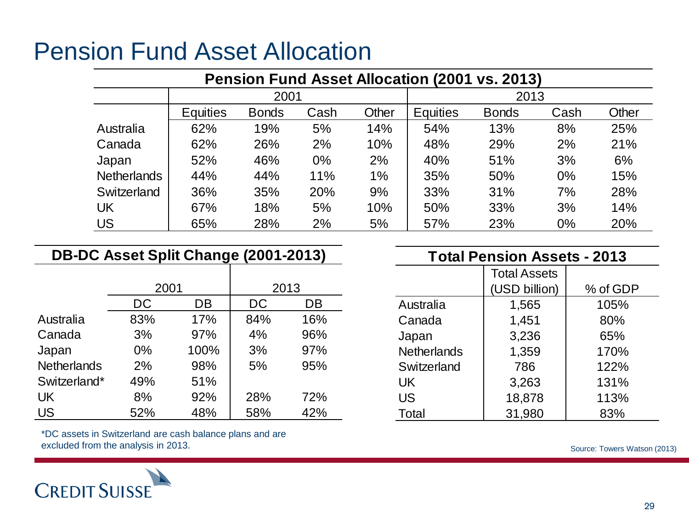#### Pension Fund Asset Allocation

| <b>Pension Fund Asset Allocation (2001 vs. 2013)</b> |                 |              |       |       |                                    |                     |       |          |
|------------------------------------------------------|-----------------|--------------|-------|-------|------------------------------------|---------------------|-------|----------|
|                                                      | 2001            |              |       | 2013  |                                    |                     |       |          |
|                                                      | <b>Equities</b> | <b>Bonds</b> | Cash  | Other | <b>Equities</b>                    | <b>Bonds</b>        | Cash  | Other    |
| Australia                                            | 62%             | 19%          | 5%    | 14%   | 54%                                | 13%                 | 8%    | 25%      |
| Canada                                               | 62%             | 26%          | 2%    | 10%   | 48%                                | 29%                 | 2%    | 21%      |
| Japan                                                | 52%             | 46%          | $0\%$ | 2%    | 40%                                | 51%                 | 3%    | 6%       |
| <b>Netherlands</b>                                   | 44%             | 44%          | 11%   | $1\%$ | 35%                                | 50%                 | $0\%$ | 15%      |
| Switzerland                                          | 36%             | 35%          | 20%   | 9%    | 33%                                | 31%                 | 7%    | 28%      |
| <b>UK</b>                                            | 67%             | 18%          | 5%    | 10%   | 50%                                | 33%                 | 3%    | 14%      |
| <b>US</b>                                            | 65%             | 28%          | 2%    | 5%    | 57%                                | 23%                 | $0\%$ | 20%      |
|                                                      |                 |              |       |       |                                    |                     |       |          |
| C Asset Split Change (2001-2013)                     |                 |              |       |       | <b>Total Pension Assets - 2013</b> |                     |       |          |
|                                                      |                 |              |       |       |                                    | <b>Total Assets</b> |       |          |
| 2001                                                 |                 | 2013         |       |       |                                    | (USD billion)       |       | % of GDP |

#### **DB-DC Asset Split Change (2001-2013)**

|                    | 2001  |      |     | 2013 |
|--------------------|-------|------|-----|------|
|                    | DC    | DB   | DC  | DB   |
| Australia          | 83%   | 17%  | 84% | 16%  |
| Canada             | 3%    | 97%  | 4%  | 96%  |
| Japan              | $0\%$ | 100% | 3%  | 97%  |
| <b>Netherlands</b> | 2%    | 98%  | 5%  | 95%  |
| Switzerland*       | 49%   | 51%  |     |      |
| <b>UK</b>          | 8%    | 92%  | 28% | 72%  |
| <b>US</b>          | 52%   | 48%  | 58% | 42%  |

\*DC assets in Switzerland are cash balance plans and are excluded from the analysis in 2013.



| <b>Netherlands</b> | 1,359  | 170% |
|--------------------|--------|------|
| Switzerland        | 786    | 122% |
| UK.                | 3,263  | 131% |
| <b>US</b>          | 18,878 | 113% |
| Total              | 31,980 | 83%  |
|                    |        |      |

Source: Towers Watson (2013)

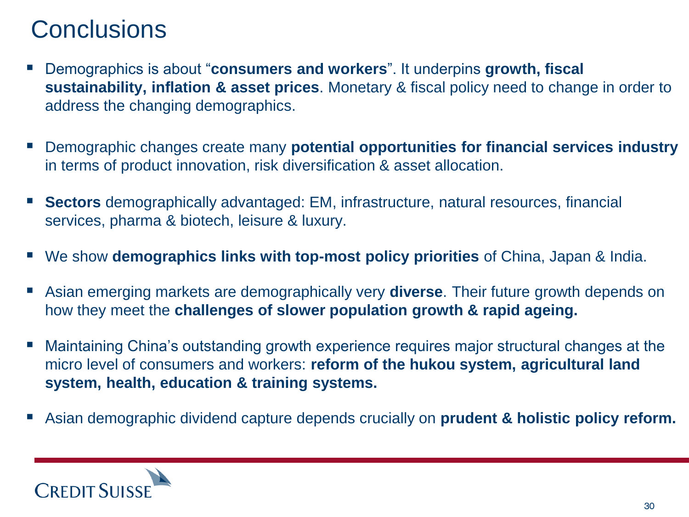### **Conclusions**

- Demographics is about "**consumers and workers**". It underpins **growth, fiscal sustainability, inflation & asset prices**. Monetary & fiscal policy need to change in order to address the changing demographics.
- Demographic changes create many **potential opportunities for financial services industry**  in terms of product innovation, risk diversification & asset allocation.
- **Sectors** demographically advantaged: EM, infrastructure, natural resources, financial services, pharma & biotech, leisure & luxury.
- We show **demographics links with top-most policy priorities** of China, Japan & India.
- Asian emerging markets are demographically very **diverse**. Their future growth depends on how they meet the **challenges of slower population growth & rapid ageing.**
- Maintaining China's outstanding growth experience requires major structural changes at the micro level of consumers and workers: **reform of the hukou system, agricultural land system, health, education & training systems.**
- Asian demographic dividend capture depends crucially on **prudent & holistic policy reform.**

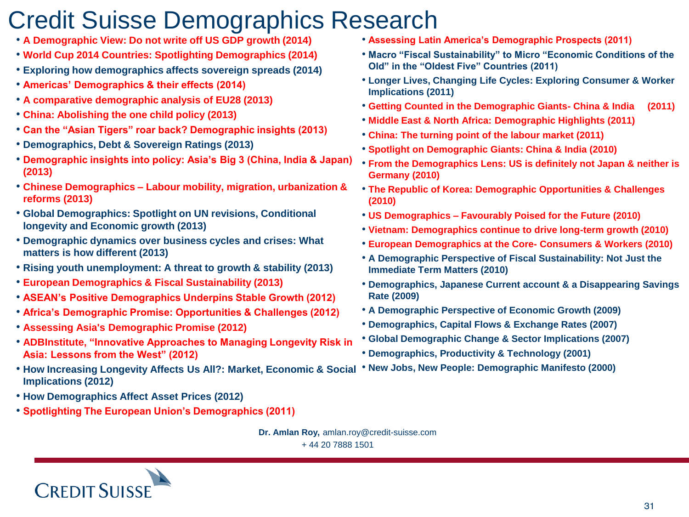### Credit Suisse Demographics Research

- **A Demographic View: Do not write off US GDP growth (2014)**
- **World Cup 2014 Countries: Spotlighting Demographics (2014)**
- **Exploring how demographics affects sovereign spreads (2014)**
- **Americas' Demographics & their effects (2014)**
- **A comparative demographic analysis of EU28 (2013)**
- **China: Abolishing the one child policy (2013)**
- **Can the "Asian Tigers" roar back? Demographic insights (2013)**
- **Demographics, Debt & Sovereign Ratings (2013)**
- **Demographic insights into policy: Asia's Big 3 (China, India & Japan) (2013)**
- **Chinese Demographics – Labour mobility, migration, urbanization & reforms (2013)**
- **Global Demographics: Spotlight on UN revisions, Conditional longevity and Economic growth (2013)**
- **Demographic dynamics over business cycles and crises: What matters is how different (2013)**
- **Rising youth unemployment: A threat to growth & stability (2013)**
- **European Demographics & Fiscal Sustainability (2013)**
- **ASEAN's Positive Demographics Underpins Stable Growth (2012)**
- **Africa's Demographic Promise: Opportunities & Challenges (2012)**
- **Assessing Asia's Demographic Promise (2012)**
- **ADBInstitute, "Innovative Approaches to Managing Longevity Risk in Asia: Lessons from the West" (2012)**
- **How Increasing Longevity Affects Us All?: Market, Economic & Social New Jobs, New People: Demographic Manifesto (2000) Implications (2012)**
- **How Demographics Affect Asset Prices (2012)**
- **Spotlighting The European Union's Demographics (2011)**

 **Dr. Amlan Roy,** amlan.roy@credit-suisse.com

+ 44 20 7888 1501



- **Assessing Latin America's Demographic Prospects (2011)**
- **Macro "Fiscal Sustainability" to Micro "Economic Conditions of the Old" in the "Oldest Five" Countries (2011)**
- **Longer Lives, Changing Life Cycles: Exploring Consumer & Worker Implications (2011)**
- **Getting Counted in the Demographic Giants- China & India (2011)**
- **Middle East & North Africa: Demographic Highlights (2011)**
- **China: The turning point of the labour market (2011)**
- **Spotlight on Demographic Giants: China & India (2010)**
- **From the Demographics Lens: US is definitely not Japan & neither is Germany (2010)**
- **The Republic of Korea: Demographic Opportunities & Challenges (2010)**
- **US Demographics – Favourably Poised for the Future (2010)**
- **Vietnam: Demographics continue to drive long-term growth (2010)**
- **European Demographics at the Core- Consumers & Workers (2010)**
- **A Demographic Perspective of Fiscal Sustainability: Not Just the Immediate Term Matters (2010)**
- **Demographics, Japanese Current account & a Disappearing Savings Rate (2009)**
- **A Demographic Perspective of Economic Growth (2009)**
- **Demographics, Capital Flows & Exchange Rates (2007)**
- **Global Demographic Change & Sector Implications (2007)**
- **Demographics, Productivity & Technology (2001)**
-